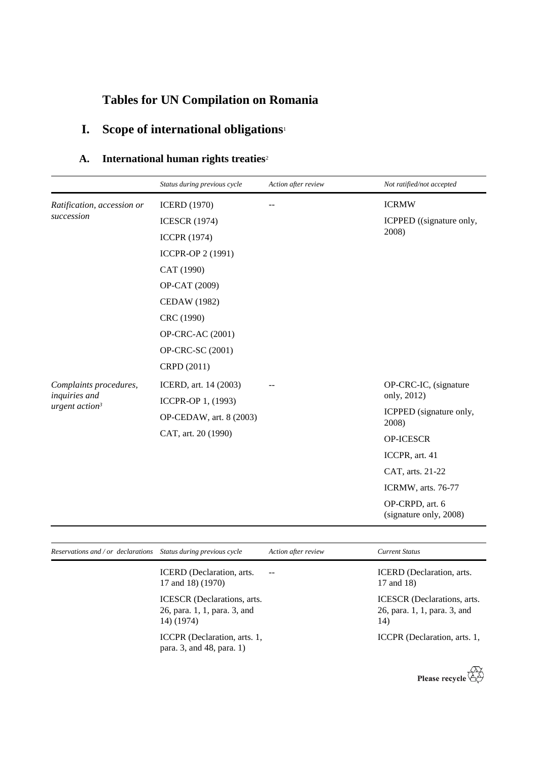# **Tables for UN Compilation on Romania**

# **I. Scope of international obligations**<sup>1</sup>

## **A. International human rights treaties**<sup>2</sup>

|                                   | Status during previous cycle | Action after review | Not ratified/not accepted                 |
|-----------------------------------|------------------------------|---------------------|-------------------------------------------|
| Ratification, accession or        | <b>ICERD</b> (1970)          |                     | <b>ICRMW</b>                              |
| succession                        | <b>ICESCR (1974)</b>         |                     | ICPPED ((signature only,                  |
|                                   | <b>ICCPR</b> (1974)          |                     | 2008)                                     |
|                                   | ICCPR-OP 2 (1991)            |                     |                                           |
|                                   | CAT (1990)                   |                     |                                           |
|                                   | OP-CAT (2009)                |                     |                                           |
|                                   | <b>CEDAW</b> (1982)          |                     |                                           |
|                                   | CRC (1990)                   |                     |                                           |
|                                   | OP-CRC-AC (2001)             |                     |                                           |
|                                   | OP-CRC-SC (2001)             |                     |                                           |
|                                   | CRPD (2011)                  |                     |                                           |
| Complaints procedures,            | ICERD, art. 14 (2003)        | only, 2012)         | OP-CRC-IC, (signature                     |
| inquiries and<br>urgent $action3$ | ICCPR-OP 1, (1993)           |                     |                                           |
|                                   | OP-CEDAW, art. 8 (2003)      |                     | ICPPED (signature only,<br>2008)          |
|                                   | CAT, art. 20 (1990)          |                     | <b>OP-ICESCR</b>                          |
|                                   |                              |                     | ICCPR, art. 41                            |
|                                   |                              |                     | CAT, arts. 21-22                          |
|                                   |                              |                     | ICRMW, arts. 76-77                        |
|                                   |                              |                     | OP-CRPD, art. 6<br>(signature only, 2008) |

| Reservations and / or declarations Status during previous cycle |                                                                                  | Action after review | <b>Current Status</b>                                              |
|-----------------------------------------------------------------|----------------------------------------------------------------------------------|---------------------|--------------------------------------------------------------------|
|                                                                 | ICERD (Declaration, arts.<br>17 and 18) (1970)                                   | $-$                 | ICERD (Declaration, arts.<br>17 and 18)                            |
|                                                                 | <b>ICESCR</b> (Declarations, arts.<br>26, para. 1, 1, para. 3, and<br>14) (1974) |                     | ICESCR (Declarations, arts.<br>26, para. 1, 1, para. 3, and<br>14) |
|                                                                 | ICCPR (Declaration, arts. 1,<br>para. 3, and 48, para. 1)                        |                     | ICCPR (Declaration, arts. 1,                                       |

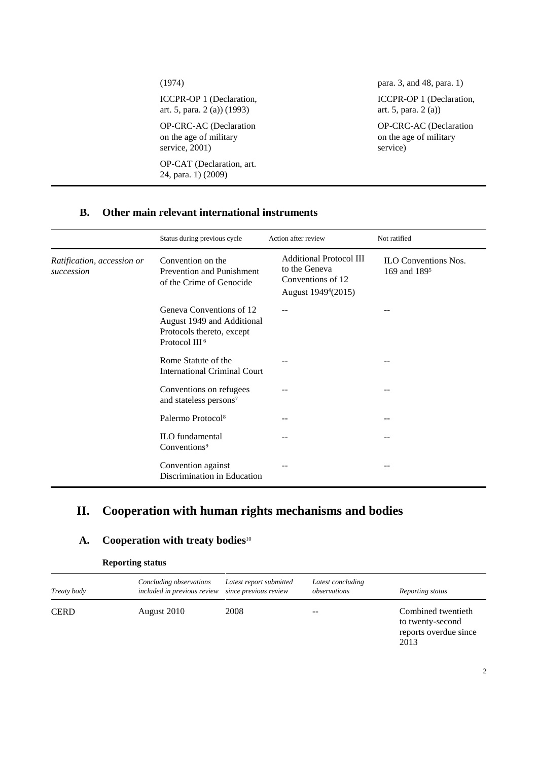(1974) ICCPR-OP 1 (Declaration, art. 5, para. 2 (a)) (1993) OP-CRC-AC (Declaration on the age of military service, 2001) OP-CAT (Declaration, art.

para. 3, and 48, para. 1)

ICCPR-OP 1 (Declaration, art. 5, para. 2 (a))

OP-CRC-AC (Declaration on the age of military service)

### **B. Other main relevant international instruments**

24, para. 1) (2009)

|                                          | Status during previous cycle                                                                                     | Action after review                                                                                     | Not ratified                                            |
|------------------------------------------|------------------------------------------------------------------------------------------------------------------|---------------------------------------------------------------------------------------------------------|---------------------------------------------------------|
| Ratification, accession or<br>succession | Convention on the<br>Prevention and Punishment<br>of the Crime of Genocide                                       | <b>Additional Protocol III</b><br>to the Geneva<br>Conventions of 12<br>August 1949 <sup>4</sup> (2015) | <b>ILO Conventions Nos.</b><br>169 and 189 <sup>5</sup> |
|                                          | Geneva Conventions of 12<br>August 1949 and Additional<br>Protocols thereto, except<br>Protocol III <sup>6</sup> |                                                                                                         |                                                         |
|                                          | Rome Statute of the<br><b>International Criminal Court</b>                                                       |                                                                                                         |                                                         |
|                                          | Conventions on refugees<br>and stateless persons <sup>7</sup>                                                    |                                                                                                         | --                                                      |
|                                          | Palermo Protocol <sup>8</sup>                                                                                    |                                                                                                         |                                                         |
|                                          | <b>ILO</b> fundamental<br>Conventions <sup>9</sup>                                                               |                                                                                                         |                                                         |
|                                          | Convention against<br>Discrimination in Education                                                                |                                                                                                         | $- -$                                                   |

## **II. Cooperation with human rights mechanisms and bodies**

## **A. Cooperation with treaty bodies**<sup>10</sup>

| Treaty body | Concluding observations<br>included in previous review since previous review | Latest report submitted | Latest concluding<br>observations | Reporting status                                                        |
|-------------|------------------------------------------------------------------------------|-------------------------|-----------------------------------|-------------------------------------------------------------------------|
| <b>CERD</b> | August 2010                                                                  | 2008                    |                                   | Combined twentieth<br>to twenty-second<br>reports overdue since<br>2013 |

#### **Reporting status**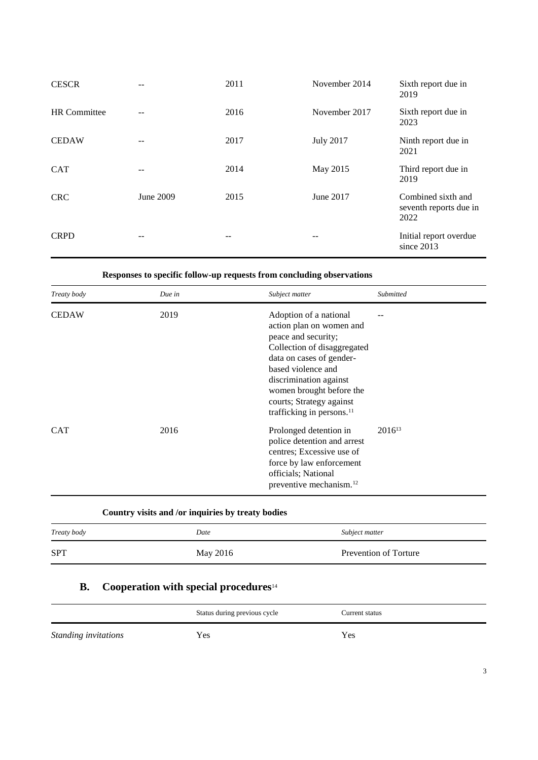| <b>CESCR</b>        |           | 2011  | November 2014     | Sixth report due in<br>2019                          |
|---------------------|-----------|-------|-------------------|------------------------------------------------------|
| <b>HR</b> Committee |           | 2016  | November 2017     | Sixth report due in<br>2023                          |
| <b>CEDAW</b>        |           | 2017  | <b>July 2017</b>  | Ninth report due in<br>2021                          |
| <b>CAT</b>          | --        | 2014  | May 2015          | Third report due in<br>2019                          |
| <b>CRC</b>          | June 2009 | 2015  | June 2017         | Combined sixth and<br>seventh reports due in<br>2022 |
| <b>CRPD</b>         | --        | $- -$ | $\qquad \qquad -$ | Initial report overdue<br>since 2013                 |

## **Responses to specific follow-up requests from concluding observations**

| Treaty body  | Due in | Subject matter                                                                                                                                                                                                                                                               | Submitted   |
|--------------|--------|------------------------------------------------------------------------------------------------------------------------------------------------------------------------------------------------------------------------------------------------------------------------------|-------------|
| <b>CEDAW</b> | 2019   | Adoption of a national<br>action plan on women and<br>peace and security;<br>Collection of disaggregated<br>data on cases of gender-<br>based violence and<br>discrimination against<br>women brought before the<br>courts; Strategy against<br>trafficking in persons. $11$ |             |
| <b>CAT</b>   | 2016   | Prolonged detention in<br>police detention and arrest<br>centres; Excessive use of<br>force by law enforcement<br>officials; National<br>preventive mechanism. <sup>12</sup>                                                                                                 | $2016^{13}$ |

## **Country visits and /or inquiries by treaty bodies**

| Treaty body | Date     | Subject matter        |
|-------------|----------|-----------------------|
| <b>SPT</b>  | May 2016 | Prevention of Torture |

## **B. Cooperation with special procedures**<sup>14</sup>

|                      | Status during previous cycle | Current status |
|----------------------|------------------------------|----------------|
| Standing invitations | Yes                          | Yes            |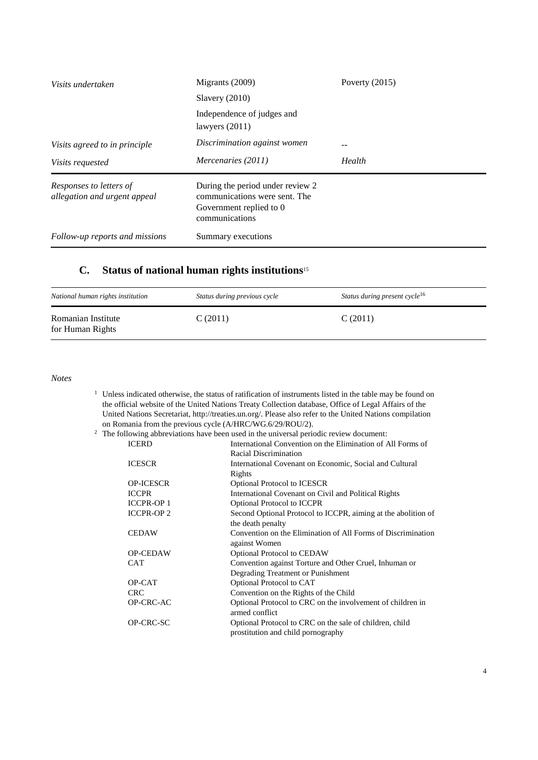| Visits undertaken                                       | Migrants (2009)                                                                                                | Poverty $(2015)$ |
|---------------------------------------------------------|----------------------------------------------------------------------------------------------------------------|------------------|
|                                                         | Slavery $(2010)$                                                                                               |                  |
|                                                         | Independence of judges and<br>lawyers $(2011)$                                                                 |                  |
| Visits agreed to in principle                           | Discrimination against women                                                                                   | --               |
| <i>Visits requested</i>                                 | Mercenaries (2011)                                                                                             | Health           |
| Responses to letters of<br>allegation and urgent appeal | During the period under review 2<br>communications were sent. The<br>Government replied to 0<br>communications |                  |
| Follow-up reports and missions                          | Summary executions                                                                                             |                  |

## **C. Status of national human rights institutions**<sup>15</sup>

| National human rights institution      | Status during previous cycle | Status during present cycle <sup>16</sup> |
|----------------------------------------|------------------------------|-------------------------------------------|
| Romanian Institute<br>for Human Rights | C(2011)                      | C(2011)                                   |

*Notes*

<sup>1</sup> Unless indicated otherwise, the status of ratification of instruments listed in the table may be found on the official website of the United Nations Treaty Collection database, Office of Legal Affairs of the United Nations Secretariat, http://treaties.un.org/. Please also refer to the United Nations compilation on Romania from the previous cycle (A/HRC/WG.6/29/ROU/2).

| <sup>2</sup> The following abbreviations have been used in the universal periodic review document: |  |
|----------------------------------------------------------------------------------------------------|--|
|----------------------------------------------------------------------------------------------------|--|

| <b>ICERD</b>     | International Convention on the Elimination of All Forms of   |
|------------------|---------------------------------------------------------------|
|                  | Racial Discrimination                                         |
| <b>ICESCR</b>    | International Covenant on Economic, Social and Cultural       |
|                  | Rights                                                        |
| <b>OP-ICESCR</b> | <b>Optional Protocol to ICESCR</b>                            |
| <b>ICCPR</b>     | International Covenant on Civil and Political Rights          |
| <b>ICCPR-OP1</b> | <b>Optional Protocol to ICCPR</b>                             |
| <b>ICCPR-OP2</b> | Second Optional Protocol to ICCPR, aiming at the abolition of |
|                  | the death penalty                                             |
| <b>CEDAW</b>     | Convention on the Elimination of All Forms of Discrimination  |
|                  | against Women                                                 |
| <b>OP-CEDAW</b>  | <b>Optional Protocol to CEDAW</b>                             |
| <b>CAT</b>       | Convention against Torture and Other Cruel, Inhuman or        |
|                  | Degrading Treatment or Punishment                             |
| OP-CAT           | Optional Protocol to CAT                                      |
| <b>CRC</b>       | Convention on the Rights of the Child                         |
| OP-CRC-AC        | Optional Protocol to CRC on the involvement of children in    |
|                  | armed conflict                                                |
| OP-CRC-SC        | Optional Protocol to CRC on the sale of children, child       |
|                  | prostitution and child pornography                            |
|                  |                                                               |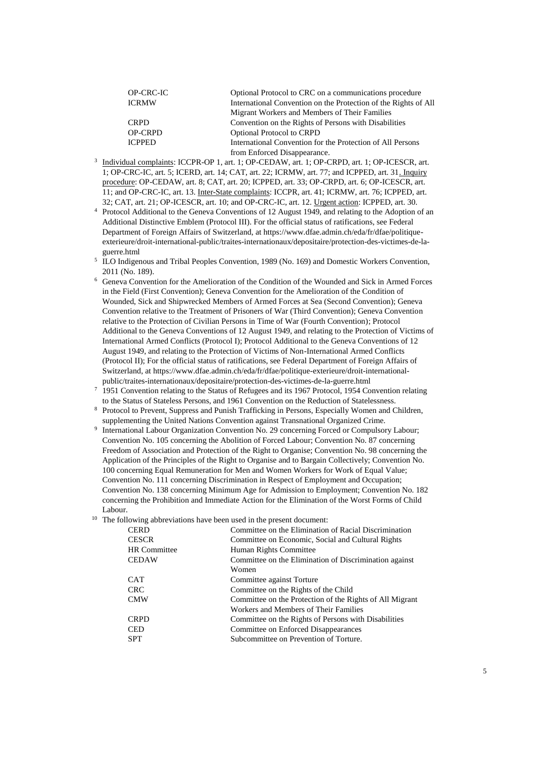| OP-CRC-IC      | Optional Protocol to CRC on a communications procedure          |
|----------------|-----------------------------------------------------------------|
| <b>ICRMW</b>   | International Convention on the Protection of the Rights of All |
|                | Migrant Workers and Members of Their Families                   |
| <b>CRPD</b>    | Convention on the Rights of Persons with Disabilities           |
| <b>OP-CRPD</b> | <b>Optional Protocol to CRPD</b>                                |
| <b>ICPPED</b>  | International Convention for the Protection of All Persons      |
|                | from Enforced Disappearance.                                    |
|                |                                                                 |

- <sup>3</sup> Individual complaints: ICCPR-OP 1, art. 1; OP-CEDAW, art. 1; OP-CRPD, art. 1; OP-ICESCR, art. 1; OP-CRC-IC, art. 5; ICERD, art. 14; CAT, art. 22; ICRMW, art. 77; and ICPPED, art. 31. Inquiry procedure: OP-CEDAW, art. 8; CAT, art. 20; ICPPED, art. 33; OP-CRPD, art. 6; OP-ICESCR, art. 11; and OP-CRC-IC, art. 13. Inter-State complaints: ICCPR, art. 41; ICRMW, art. 76; ICPPED, art. 32; CAT, art. 21; OP-ICESCR, art. 10; and OP-CRC-IC, art. 12. Urgent action: ICPPED, art. 30.
- <sup>4</sup> Protocol Additional to the Geneva Conventions of 12 August 1949, and relating to the Adoption of an Additional Distinctive Emblem (Protocol III). For the official status of ratifications, see Federal Department of Foreign Affairs of Switzerland, at https://www.dfae.admin.ch/eda/fr/dfae/politiqueexterieure/droit-international-public/traites-internationaux/depositaire/protection-des-victimes-de-laguerre.html
- <sup>5</sup> ILO Indigenous and Tribal Peoples Convention, 1989 (No. 169) and Domestic Workers Convention, 2011 (No. 189).
- <sup>6</sup> Geneva Convention for the Amelioration of the Condition of the Wounded and Sick in Armed Forces in the Field (First Convention); Geneva Convention for the Amelioration of the Condition of Wounded, Sick and Shipwrecked Members of Armed Forces at Sea (Second Convention); Geneva Convention relative to the Treatment of Prisoners of War (Third Convention); Geneva Convention relative to the Protection of Civilian Persons in Time of War (Fourth Convention); Protocol Additional to the Geneva Conventions of 12 August 1949, and relating to the Protection of Victims of International Armed Conflicts (Protocol I); Protocol Additional to the Geneva Conventions of 12 August 1949, and relating to the Protection of Victims of Non-International Armed Conflicts (Protocol II); For the official status of ratifications, see Federal Department of Foreign Affairs of Switzerland, at https://www.dfae.admin.ch/eda/fr/dfae/politique-exterieure/droit-internationalpublic/traites-internationaux/depositaire/protection-des-victimes-de-la-guerre.html
- <sup>7</sup> 1951 Convention relating to the Status of Refugees and its 1967 Protocol, 1954 Convention relating to the Status of Stateless Persons, and 1961 Convention on the Reduction of Statelessness.
- <sup>8</sup> Protocol to Prevent, Suppress and Punish Trafficking in Persons, Especially Women and Children, supplementing the United Nations Convention against Transnational Organized Crime.
- 9 International Labour Organization Convention No. 29 concerning Forced or Compulsory Labour; Convention No. 105 concerning the Abolition of Forced Labour; Convention No. 87 concerning Freedom of Association and Protection of the Right to Organise; Convention No. 98 concerning the Application of the Principles of the Right to Organise and to Bargain Collectively; Convention No. 100 concerning Equal Remuneration for Men and Women Workers for Work of Equal Value; Convention No. 111 concerning Discrimination in Respect of Employment and Occupation; Convention No. 138 concerning Minimum Age for Admission to Employment; Convention No. 182 concerning the Prohibition and Immediate Action for the Elimination of the Worst Forms of Child Labour.
- <sup>10</sup> The following abbreviations have been used in the present document:

| <b>CERD</b>         | Committee on the Elimination of Racial Discrimination    |
|---------------------|----------------------------------------------------------|
| <b>CESCR</b>        | Committee on Economic, Social and Cultural Rights        |
| <b>HR</b> Committee | Human Rights Committee                                   |
| <b>CEDAW</b>        | Committee on the Elimination of Discrimination against   |
|                     | Women                                                    |
| <b>CAT</b>          | Committee against Torture                                |
| <b>CRC</b>          | Committee on the Rights of the Child                     |
| <b>CMW</b>          | Committee on the Protection of the Rights of All Migrant |
|                     | Workers and Members of Their Families                    |
| <b>CRPD</b>         | Committee on the Rights of Persons with Disabilities     |
| <b>CED</b>          | Committee on Enforced Disappearances                     |
| <b>SPT</b>          | Subcommittee on Prevention of Torture.                   |
|                     |                                                          |